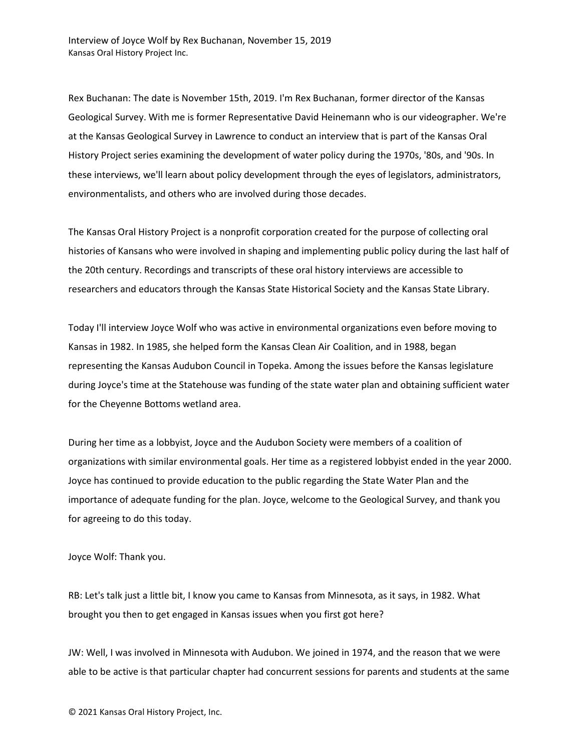Rex Buchanan: The date is November 15th, 2019. I'm Rex Buchanan, former director of the Kansas Geological Survey. With me is former Representative David Heinemann who is our videographer. We're at the Kansas Geological Survey in Lawrence to conduct an interview that is part of the Kansas Oral History Project series examining the development of water policy during the 1970s, '80s, and '90s. In these interviews, we'll learn about policy development through the eyes of legislators, administrators, environmentalists, and others who are involved during those decades.

The Kansas Oral History Project is a nonprofit corporation created for the purpose of collecting oral histories of Kansans who were involved in shaping and implementing public policy during the last half of the 20th century. Recordings and transcripts of these oral history interviews are accessible to researchers and educators through the Kansas State Historical Society and the Kansas State Library.

Today I'll interview Joyce Wolf who was active in environmental organizations even before moving to Kansas in 1982. In 1985, she helped form the Kansas Clean Air Coalition, and in 1988, began representing the Kansas Audubon Council in Topeka. Among the issues before the Kansas legislature during Joyce's time at the Statehouse was funding of the state water plan and obtaining sufficient water for the Cheyenne Bottoms wetland area.

During her time as a lobbyist, Joyce and the Audubon Society were members of a coalition of organizations with similar environmental goals. Her time as a registered lobbyist ended in the year 2000. Joyce has continued to provide education to the public regarding the State Water Plan and the importance of adequate funding for the plan. Joyce, welcome to the Geological Survey, and thank you for agreeing to do this today.

Joyce Wolf: Thank you.

RB: Let's talk just a little bit, I know you came to Kansas from Minnesota, as it says, in 1982. What brought you then to get engaged in Kansas issues when you first got here?

JW: Well, I was involved in Minnesota with Audubon. We joined in 1974, and the reason that we were able to be active is that particular chapter had concurrent sessions for parents and students at the same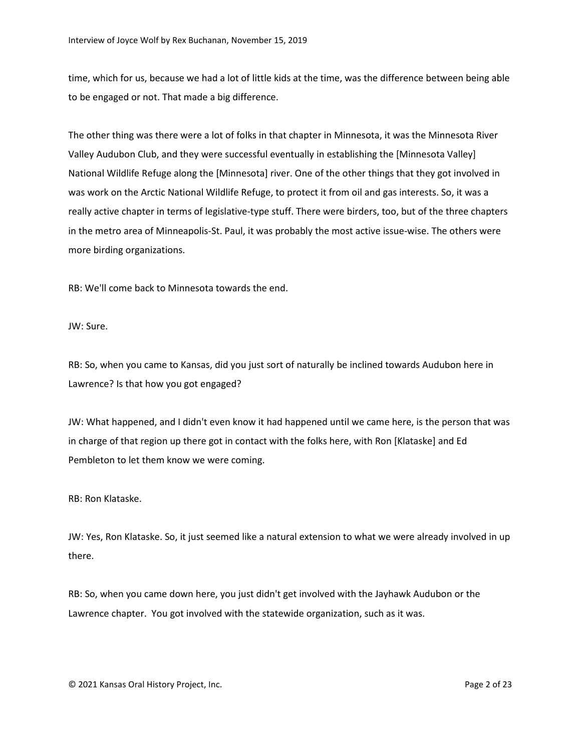time, which for us, because we had a lot of little kids at the time, was the difference between being able to be engaged or not. That made a big difference.

The other thing was there were a lot of folks in that chapter in Minnesota, it was the Minnesota River Valley Audubon Club, and they were successful eventually in establishing the [Minnesota Valley] National Wildlife Refuge along the [Minnesota] river. One of the other things that they got involved in was work on the Arctic National Wildlife Refuge, to protect it from oil and gas interests. So, it was a really active chapter in terms of legislative-type stuff. There were birders, too, but of the three chapters in the metro area of Minneapolis-St. Paul, it was probably the most active issue-wise. The others were more birding organizations.

RB: We'll come back to Minnesota towards the end.

JW: Sure.

RB: So, when you came to Kansas, did you just sort of naturally be inclined towards Audubon here in Lawrence? Is that how you got engaged?

JW: What happened, and I didn't even know it had happened until we came here, is the person that was in charge of that region up there got in contact with the folks here, with Ron [Klataske] and Ed Pembleton to let them know we were coming.

RB: Ron Klataske.

JW: Yes, Ron Klataske. So, it just seemed like a natural extension to what we were already involved in up there.

RB: So, when you came down here, you just didn't get involved with the Jayhawk Audubon or the Lawrence chapter. You got involved with the statewide organization, such as it was.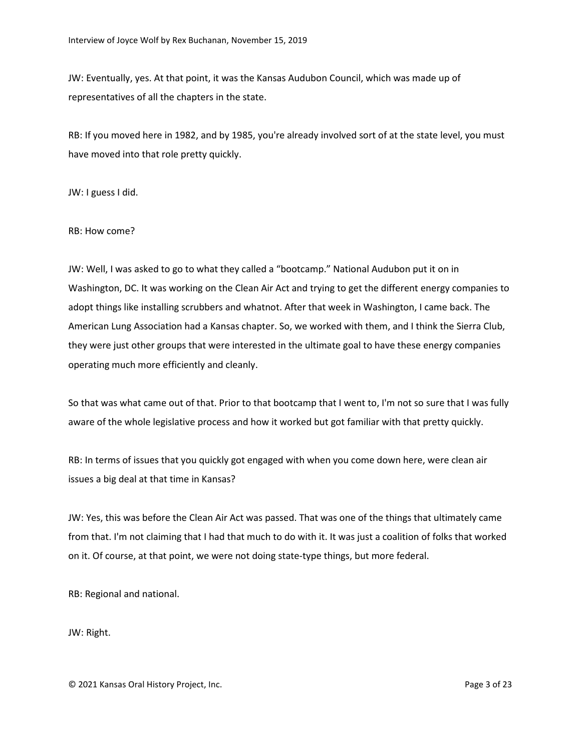JW: Eventually, yes. At that point, it was the Kansas Audubon Council, which was made up of representatives of all the chapters in the state.

RB: If you moved here in 1982, and by 1985, you're already involved sort of at the state level, you must have moved into that role pretty quickly.

JW: I guess I did.

## RB: How come?

JW: Well, I was asked to go to what they called a "bootcamp." National Audubon put it on in Washington, DC. It was working on the Clean Air Act and trying to get the different energy companies to adopt things like installing scrubbers and whatnot. After that week in Washington, I came back. The American Lung Association had a Kansas chapter. So, we worked with them, and I think the Sierra Club, they were just other groups that were interested in the ultimate goal to have these energy companies operating much more efficiently and cleanly.

So that was what came out of that. Prior to that bootcamp that I went to, I'm not so sure that I was fully aware of the whole legislative process and how it worked but got familiar with that pretty quickly.

RB: In terms of issues that you quickly got engaged with when you come down here, were clean air issues a big deal at that time in Kansas?

JW: Yes, this was before the Clean Air Act was passed. That was one of the things that ultimately came from that. I'm not claiming that I had that much to do with it. It was just a coalition of folks that worked on it. Of course, at that point, we were not doing state-type things, but more federal.

RB: Regional and national.

JW: Right.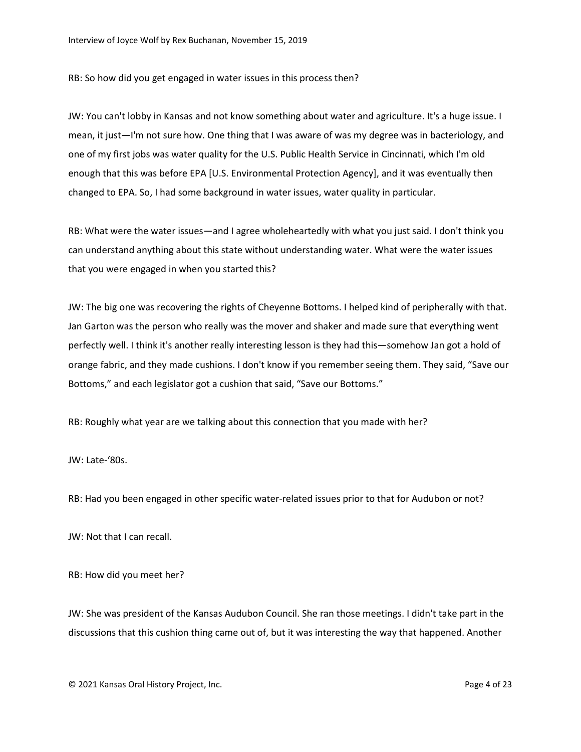RB: So how did you get engaged in water issues in this process then?

JW: You can't lobby in Kansas and not know something about water and agriculture. It's a huge issue. I mean, it just—I'm not sure how. One thing that I was aware of was my degree was in bacteriology, and one of my first jobs was water quality for the U.S. Public Health Service in Cincinnati, which I'm old enough that this was before EPA [U.S. Environmental Protection Agency], and it was eventually then changed to EPA. So, I had some background in water issues, water quality in particular.

RB: What were the water issues—and I agree wholeheartedly with what you just said. I don't think you can understand anything about this state without understanding water. What were the water issues that you were engaged in when you started this?

JW: The big one was recovering the rights of Cheyenne Bottoms. I helped kind of peripherally with that. Jan Garton was the person who really was the mover and shaker and made sure that everything went perfectly well. I think it's another really interesting lesson is they had this—somehow Jan got a hold of orange fabric, and they made cushions. I don't know if you remember seeing them. They said, "Save our Bottoms," and each legislator got a cushion that said, "Save our Bottoms."

RB: Roughly what year are we talking about this connection that you made with her?

JW: Late-'80s.

RB: Had you been engaged in other specific water-related issues prior to that for Audubon or not?

JW: Not that I can recall.

RB: How did you meet her?

JW: She was president of the Kansas Audubon Council. She ran those meetings. I didn't take part in the discussions that this cushion thing came out of, but it was interesting the way that happened. Another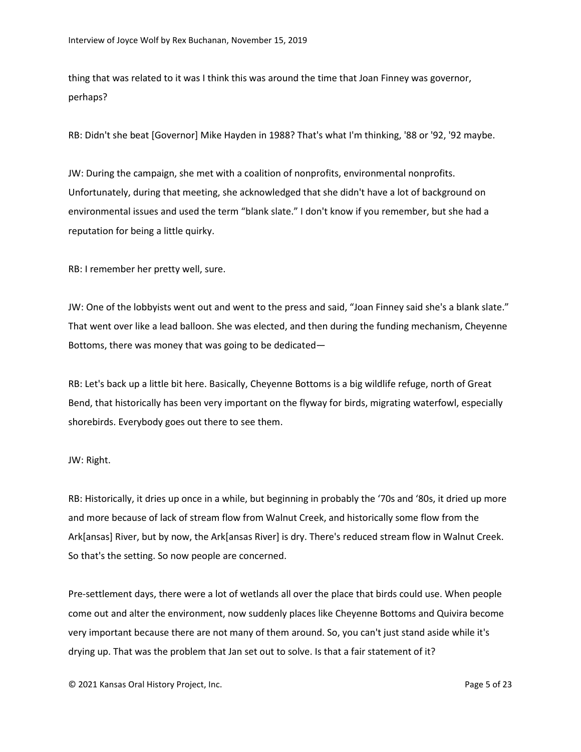thing that was related to it was I think this was around the time that Joan Finney was governor, perhaps?

RB: Didn't she beat [Governor] Mike Hayden in 1988? That's what I'm thinking, '88 or '92, '92 maybe.

JW: During the campaign, she met with a coalition of nonprofits, environmental nonprofits. Unfortunately, during that meeting, she acknowledged that she didn't have a lot of background on environmental issues and used the term "blank slate." I don't know if you remember, but she had a reputation for being a little quirky.

RB: I remember her pretty well, sure.

JW: One of the lobbyists went out and went to the press and said, "Joan Finney said she's a blank slate." That went over like a lead balloon. She was elected, and then during the funding mechanism, Cheyenne Bottoms, there was money that was going to be dedicated—

RB: Let's back up a little bit here. Basically, Cheyenne Bottoms is a big wildlife refuge, north of Great Bend, that historically has been very important on the flyway for birds, migrating waterfowl, especially shorebirds. Everybody goes out there to see them.

## JW: Right.

RB: Historically, it dries up once in a while, but beginning in probably the '70s and '80s, it dried up more and more because of lack of stream flow from Walnut Creek, and historically some flow from the Ark[ansas] River, but by now, the Ark[ansas River] is dry. There's reduced stream flow in Walnut Creek. So that's the setting. So now people are concerned.

Pre-settlement days, there were a lot of wetlands all over the place that birds could use. When people come out and alter the environment, now suddenly places like Cheyenne Bottoms and Quivira become very important because there are not many of them around. So, you can't just stand aside while it's drying up. That was the problem that Jan set out to solve. Is that a fair statement of it?

© 2021 Kansas Oral History Project, Inc. Page 5 of 23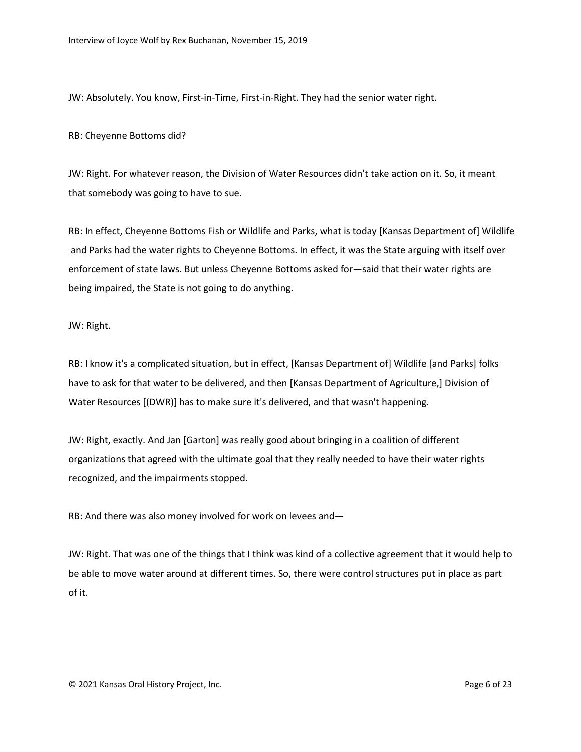JW: Absolutely. You know, First-in-Time, First-in-Right. They had the senior water right.

RB: Cheyenne Bottoms did?

JW: Right. For whatever reason, the Division of Water Resources didn't take action on it. So, it meant that somebody was going to have to sue.

RB: In effect, Cheyenne Bottoms Fish or Wildlife and Parks, what is today [Kansas Department of] Wildlife and Parks had the water rights to Cheyenne Bottoms. In effect, it was the State arguing with itself over enforcement of state laws. But unless Cheyenne Bottoms asked for—said that their water rights are being impaired, the State is not going to do anything.

JW: Right.

RB: I know it's a complicated situation, but in effect, [Kansas Department of] Wildlife [and Parks] folks have to ask for that water to be delivered, and then [Kansas Department of Agriculture,] Division of Water Resources [(DWR)] has to make sure it's delivered, and that wasn't happening.

JW: Right, exactly. And Jan [Garton] was really good about bringing in a coalition of different organizations that agreed with the ultimate goal that they really needed to have their water rights recognized, and the impairments stopped.

RB: And there was also money involved for work on levees and—

JW: Right. That was one of the things that I think was kind of a collective agreement that it would help to be able to move water around at different times. So, there were control structures put in place as part of it.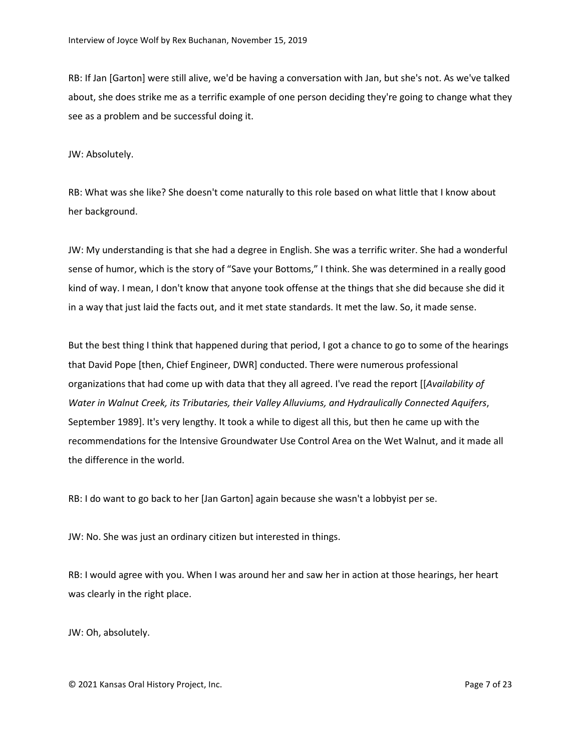RB: If Jan [Garton] were still alive, we'd be having a conversation with Jan, but she's not. As we've talked about, she does strike me as a terrific example of one person deciding they're going to change what they see as a problem and be successful doing it.

JW: Absolutely.

RB: What was she like? She doesn't come naturally to this role based on what little that I know about her background.

JW: My understanding is that she had a degree in English. She was a terrific writer. She had a wonderful sense of humor, which is the story of "Save your Bottoms," I think. She was determined in a really good kind of way. I mean, I don't know that anyone took offense at the things that she did because she did it in a way that just laid the facts out, and it met state standards. It met the law. So, it made sense.

But the best thing I think that happened during that period, I got a chance to go to some of the hearings that David Pope [then, Chief Engineer, DWR] conducted. There were numerous professional organizations that had come up with data that they all agreed. I've read the report [[*Availability of Water in Walnut Creek, its Tributaries, their Valley Alluviums, and Hydraulically Connected Aquifers*, September 1989]. It's very lengthy. It took a while to digest all this, but then he came up with the recommendations for the Intensive Groundwater Use Control Area on the Wet Walnut, and it made all the difference in the world.

RB: I do want to go back to her [Jan Garton] again because she wasn't a lobbyist per se.

JW: No. She was just an ordinary citizen but interested in things.

RB: I would agree with you. When I was around her and saw her in action at those hearings, her heart was clearly in the right place.

JW: Oh, absolutely.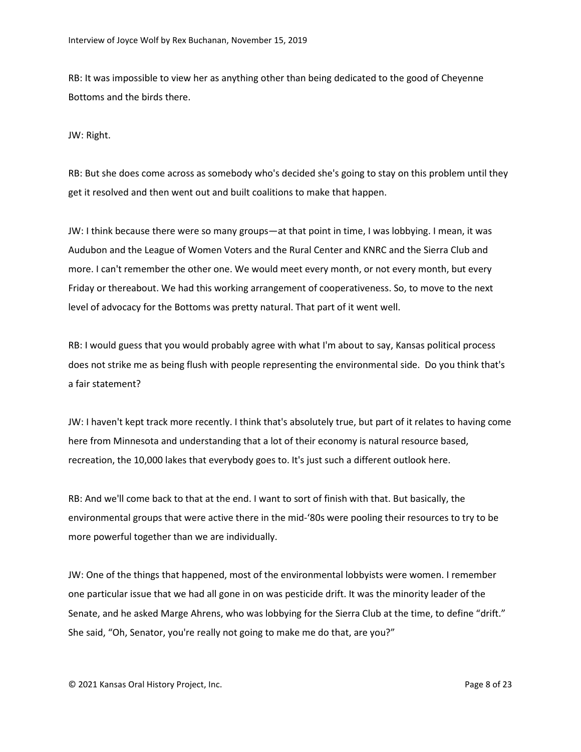RB: It was impossible to view her as anything other than being dedicated to the good of Cheyenne Bottoms and the birds there.

JW: Right.

RB: But she does come across as somebody who's decided she's going to stay on this problem until they get it resolved and then went out and built coalitions to make that happen.

JW: I think because there were so many groups—at that point in time, I was lobbying. I mean, it was Audubon and the League of Women Voters and the Rural Center and KNRC and the Sierra Club and more. I can't remember the other one. We would meet every month, or not every month, but every Friday or thereabout. We had this working arrangement of cooperativeness. So, to move to the next level of advocacy for the Bottoms was pretty natural. That part of it went well.

RB: I would guess that you would probably agree with what I'm about to say, Kansas political process does not strike me as being flush with people representing the environmental side. Do you think that's a fair statement?

JW: I haven't kept track more recently. I think that's absolutely true, but part of it relates to having come here from Minnesota and understanding that a lot of their economy is natural resource based, recreation, the 10,000 lakes that everybody goes to. It's just such a different outlook here.

RB: And we'll come back to that at the end. I want to sort of finish with that. But basically, the environmental groups that were active there in the mid-'80s were pooling their resources to try to be more powerful together than we are individually.

JW: One of the things that happened, most of the environmental lobbyists were women. I remember one particular issue that we had all gone in on was pesticide drift. It was the minority leader of the Senate, and he asked Marge Ahrens, who was lobbying for the Sierra Club at the time, to define "drift." She said, "Oh, Senator, you're really not going to make me do that, are you?"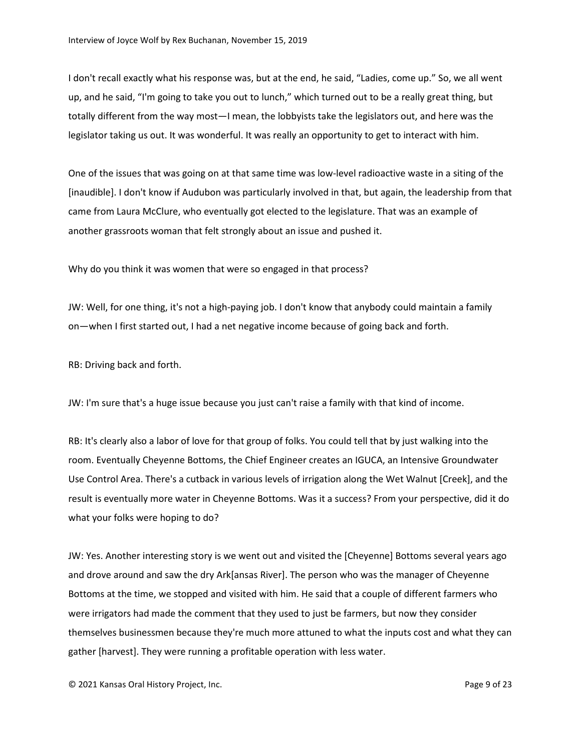I don't recall exactly what his response was, but at the end, he said, "Ladies, come up." So, we all went up, and he said, "I'm going to take you out to lunch," which turned out to be a really great thing, but totally different from the way most—I mean, the lobbyists take the legislators out, and here was the legislator taking us out. It was wonderful. It was really an opportunity to get to interact with him.

One of the issues that was going on at that same time was low-level radioactive waste in a siting of the [inaudible]. I don't know if Audubon was particularly involved in that, but again, the leadership from that came from Laura McClure, who eventually got elected to the legislature. That was an example of another grassroots woman that felt strongly about an issue and pushed it.

Why do you think it was women that were so engaged in that process?

JW: Well, for one thing, it's not a high-paying job. I don't know that anybody could maintain a family on—when I first started out, I had a net negative income because of going back and forth.

RB: Driving back and forth.

JW: I'm sure that's a huge issue because you just can't raise a family with that kind of income.

RB: It's clearly also a labor of love for that group of folks. You could tell that by just walking into the room. Eventually Cheyenne Bottoms, the Chief Engineer creates an IGUCA, an Intensive Groundwater Use Control Area. There's a cutback in various levels of irrigation along the Wet Walnut [Creek], and the result is eventually more water in Cheyenne Bottoms. Was it a success? From your perspective, did it do what your folks were hoping to do?

JW: Yes. Another interesting story is we went out and visited the [Cheyenne] Bottoms several years ago and drove around and saw the dry Ark[ansas River]. The person who was the manager of Cheyenne Bottoms at the time, we stopped and visited with him. He said that a couple of different farmers who were irrigators had made the comment that they used to just be farmers, but now they consider themselves businessmen because they're much more attuned to what the inputs cost and what they can gather [harvest]. They were running a profitable operation with less water.

© 2021 Kansas Oral History Project, Inc. Page 9 of 23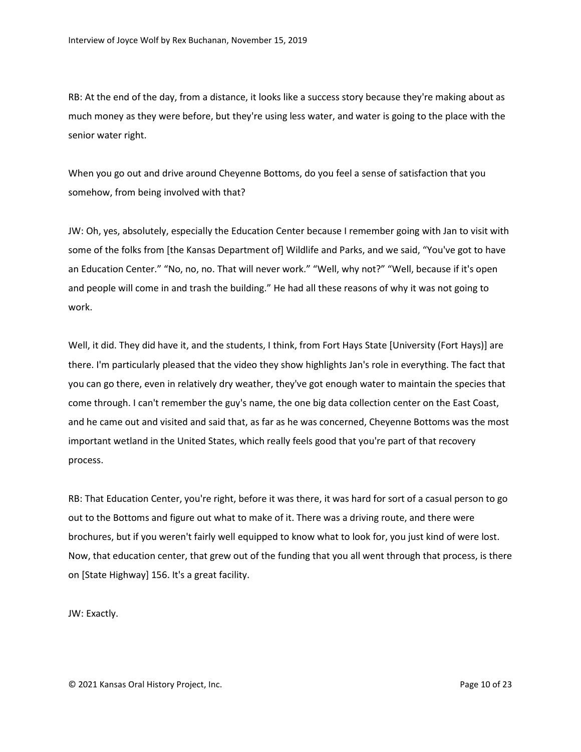RB: At the end of the day, from a distance, it looks like a success story because they're making about as much money as they were before, but they're using less water, and water is going to the place with the senior water right.

When you go out and drive around Cheyenne Bottoms, do you feel a sense of satisfaction that you somehow, from being involved with that?

JW: Oh, yes, absolutely, especially the Education Center because I remember going with Jan to visit with some of the folks from [the Kansas Department of] Wildlife and Parks, and we said, "You've got to have an Education Center." "No, no, no. That will never work." "Well, why not?" "Well, because if it's open and people will come in and trash the building." He had all these reasons of why it was not going to work.

Well, it did. They did have it, and the students, I think, from Fort Hays State [University (Fort Hays)] are there. I'm particularly pleased that the video they show highlights Jan's role in everything. The fact that you can go there, even in relatively dry weather, they've got enough water to maintain the species that come through. I can't remember the guy's name, the one big data collection center on the East Coast, and he came out and visited and said that, as far as he was concerned, Cheyenne Bottoms was the most important wetland in the United States, which really feels good that you're part of that recovery process.

RB: That Education Center, you're right, before it was there, it was hard for sort of a casual person to go out to the Bottoms and figure out what to make of it. There was a driving route, and there were brochures, but if you weren't fairly well equipped to know what to look for, you just kind of were lost. Now, that education center, that grew out of the funding that you all went through that process, is there on [State Highway] 156. It's a great facility.

JW: Exactly.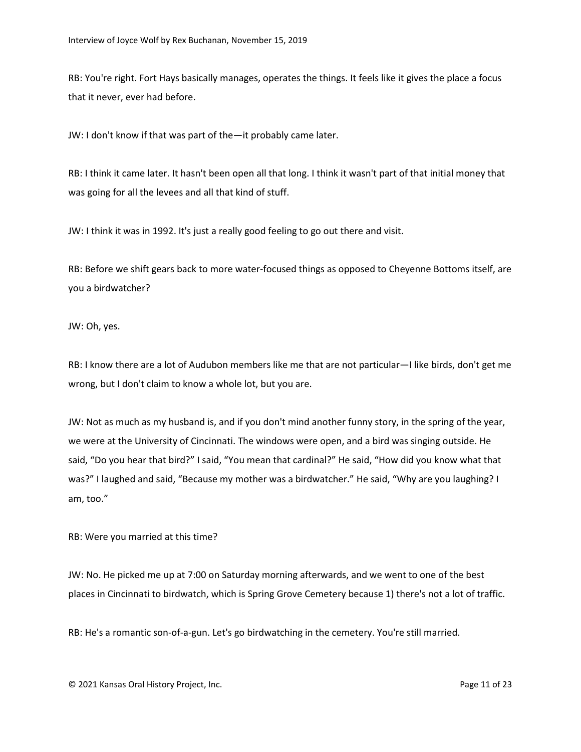RB: You're right. Fort Hays basically manages, operates the things. It feels like it gives the place a focus that it never, ever had before.

JW: I don't know if that was part of the—it probably came later.

RB: I think it came later. It hasn't been open all that long. I think it wasn't part of that initial money that was going for all the levees and all that kind of stuff.

JW: I think it was in 1992. It's just a really good feeling to go out there and visit.

RB: Before we shift gears back to more water-focused things as opposed to Cheyenne Bottoms itself, are you a birdwatcher?

JW: Oh, yes.

RB: I know there are a lot of Audubon members like me that are not particular—I like birds, don't get me wrong, but I don't claim to know a whole lot, but you are.

JW: Not as much as my husband is, and if you don't mind another funny story, in the spring of the year, we were at the University of Cincinnati. The windows were open, and a bird was singing outside. He said, "Do you hear that bird?" I said, "You mean that cardinal?" He said, "How did you know what that was?" I laughed and said, "Because my mother was a birdwatcher." He said, "Why are you laughing? I am, too."

RB: Were you married at this time?

JW: No. He picked me up at 7:00 on Saturday morning afterwards, and we went to one of the best places in Cincinnati to birdwatch, which is Spring Grove Cemetery because 1) there's not a lot of traffic.

RB: He's a romantic son-of-a-gun. Let's go birdwatching in the cemetery. You're still married.

© 2021 Kansas Oral History Project, Inc. Page 11 of 23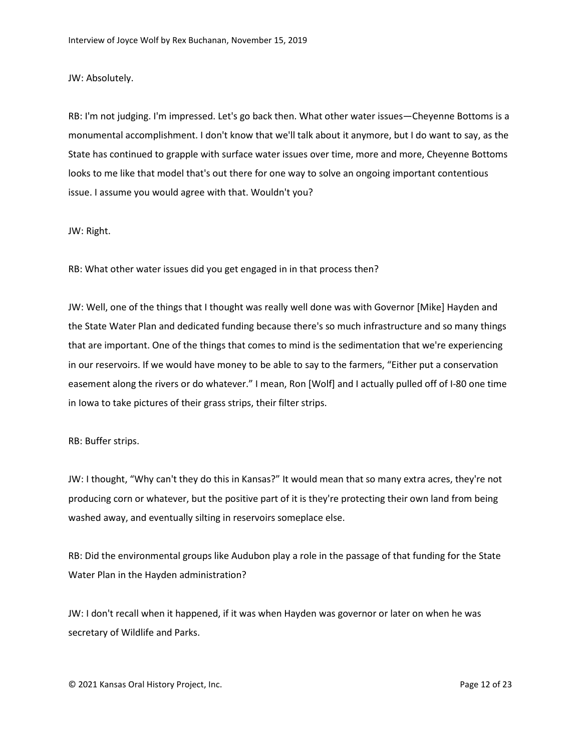JW: Absolutely.

RB: I'm not judging. I'm impressed. Let's go back then. What other water issues—Cheyenne Bottoms is a monumental accomplishment. I don't know that we'll talk about it anymore, but I do want to say, as the State has continued to grapple with surface water issues over time, more and more, Cheyenne Bottoms looks to me like that model that's out there for one way to solve an ongoing important contentious issue. I assume you would agree with that. Wouldn't you?

JW: Right.

RB: What other water issues did you get engaged in in that process then?

JW: Well, one of the things that I thought was really well done was with Governor [Mike] Hayden and the State Water Plan and dedicated funding because there's so much infrastructure and so many things that are important. One of the things that comes to mind is the sedimentation that we're experiencing in our reservoirs. If we would have money to be able to say to the farmers, "Either put a conservation easement along the rivers or do whatever." I mean, Ron [Wolf] and I actually pulled off of I-80 one time in Iowa to take pictures of their grass strips, their filter strips.

RB: Buffer strips.

JW: I thought, "Why can't they do this in Kansas?" It would mean that so many extra acres, they're not producing corn or whatever, but the positive part of it is they're protecting their own land from being washed away, and eventually silting in reservoirs someplace else.

RB: Did the environmental groups like Audubon play a role in the passage of that funding for the State Water Plan in the Hayden administration?

JW: I don't recall when it happened, if it was when Hayden was governor or later on when he was secretary of Wildlife and Parks.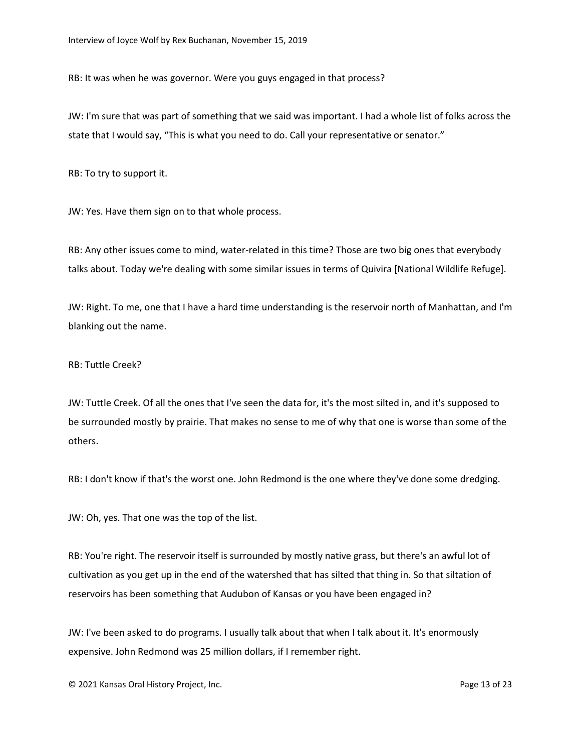RB: It was when he was governor. Were you guys engaged in that process?

JW: I'm sure that was part of something that we said was important. I had a whole list of folks across the state that I would say, "This is what you need to do. Call your representative or senator."

RB: To try to support it.

JW: Yes. Have them sign on to that whole process.

RB: Any other issues come to mind, water-related in this time? Those are two big ones that everybody talks about. Today we're dealing with some similar issues in terms of Quivira [National Wildlife Refuge].

JW: Right. To me, one that I have a hard time understanding is the reservoir north of Manhattan, and I'm blanking out the name.

RB: Tuttle Creek?

JW: Tuttle Creek. Of all the ones that I've seen the data for, it's the most silted in, and it's supposed to be surrounded mostly by prairie. That makes no sense to me of why that one is worse than some of the others.

RB: I don't know if that's the worst one. John Redmond is the one where they've done some dredging.

JW: Oh, yes. That one was the top of the list.

RB: You're right. The reservoir itself is surrounded by mostly native grass, but there's an awful lot of cultivation as you get up in the end of the watershed that has silted that thing in. So that siltation of reservoirs has been something that Audubon of Kansas or you have been engaged in?

JW: I've been asked to do programs. I usually talk about that when I talk about it. It's enormously expensive. John Redmond was 25 million dollars, if I remember right.

© 2021 Kansas Oral History Project, Inc. Page 13 of 23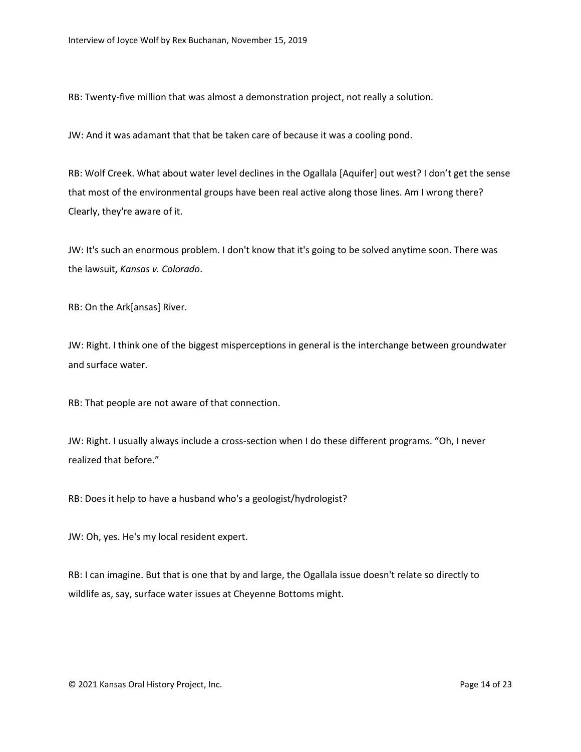RB: Twenty-five million that was almost a demonstration project, not really a solution.

JW: And it was adamant that that be taken care of because it was a cooling pond.

RB: Wolf Creek. What about water level declines in the Ogallala [Aquifer] out west? I don't get the sense that most of the environmental groups have been real active along those lines. Am I wrong there? Clearly, they're aware of it.

JW: It's such an enormous problem. I don't know that it's going to be solved anytime soon. There was the lawsuit, *Kansas v. Colorado*.

RB: On the Ark[ansas] River.

JW: Right. I think one of the biggest misperceptions in general is the interchange between groundwater and surface water.

RB: That people are not aware of that connection.

JW: Right. I usually always include a cross-section when I do these different programs. "Oh, I never realized that before."

RB: Does it help to have a husband who's a geologist/hydrologist?

JW: Oh, yes. He's my local resident expert.

RB: I can imagine. But that is one that by and large, the Ogallala issue doesn't relate so directly to wildlife as, say, surface water issues at Cheyenne Bottoms might.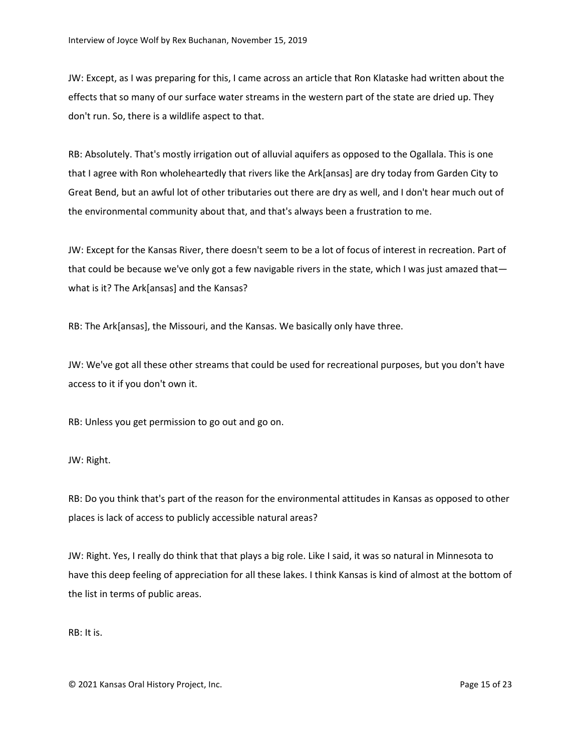JW: Except, as I was preparing for this, I came across an article that Ron Klataske had written about the effects that so many of our surface water streams in the western part of the state are dried up. They don't run. So, there is a wildlife aspect to that.

RB: Absolutely. That's mostly irrigation out of alluvial aquifers as opposed to the Ogallala. This is one that I agree with Ron wholeheartedly that rivers like the Ark[ansas] are dry today from Garden City to Great Bend, but an awful lot of other tributaries out there are dry as well, and I don't hear much out of the environmental community about that, and that's always been a frustration to me.

JW: Except for the Kansas River, there doesn't seem to be a lot of focus of interest in recreation. Part of that could be because we've only got a few navigable rivers in the state, which I was just amazed that what is it? The Ark[ansas] and the Kansas?

RB: The Ark[ansas], the Missouri, and the Kansas. We basically only have three.

JW: We've got all these other streams that could be used for recreational purposes, but you don't have access to it if you don't own it.

RB: Unless you get permission to go out and go on.

JW: Right.

RB: Do you think that's part of the reason for the environmental attitudes in Kansas as opposed to other places is lack of access to publicly accessible natural areas?

JW: Right. Yes, I really do think that that plays a big role. Like I said, it was so natural in Minnesota to have this deep feeling of appreciation for all these lakes. I think Kansas is kind of almost at the bottom of the list in terms of public areas.

RB: It is.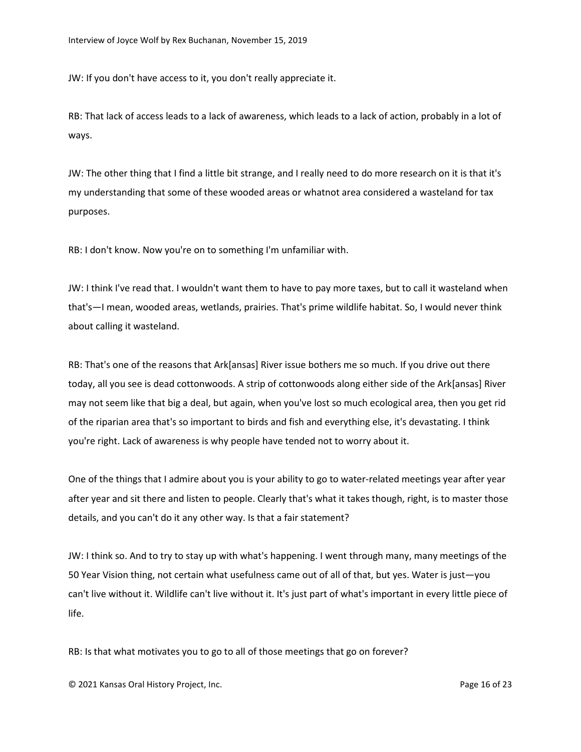JW: If you don't have access to it, you don't really appreciate it.

RB: That lack of access leads to a lack of awareness, which leads to a lack of action, probably in a lot of ways.

JW: The other thing that I find a little bit strange, and I really need to do more research on it is that it's my understanding that some of these wooded areas or whatnot area considered a wasteland for tax purposes.

RB: I don't know. Now you're on to something I'm unfamiliar with.

JW: I think I've read that. I wouldn't want them to have to pay more taxes, but to call it wasteland when that's—I mean, wooded areas, wetlands, prairies. That's prime wildlife habitat. So, I would never think about calling it wasteland.

RB: That's one of the reasons that Ark[ansas] River issue bothers me so much. If you drive out there today, all you see is dead cottonwoods. A strip of cottonwoods along either side of the Ark[ansas] River may not seem like that big a deal, but again, when you've lost so much ecological area, then you get rid of the riparian area that's so important to birds and fish and everything else, it's devastating. I think you're right. Lack of awareness is why people have tended not to worry about it.

One of the things that I admire about you is your ability to go to water-related meetings year after year after year and sit there and listen to people. Clearly that's what it takes though, right, is to master those details, and you can't do it any other way. Is that a fair statement?

JW: I think so. And to try to stay up with what's happening. I went through many, many meetings of the 50 Year Vision thing, not certain what usefulness came out of all of that, but yes. Water is just—you can't live without it. Wildlife can't live without it. It's just part of what's important in every little piece of life.

RB: Is that what motivates you to go to all of those meetings that go on forever?

© 2021 Kansas Oral History Project, Inc. Page 16 of 23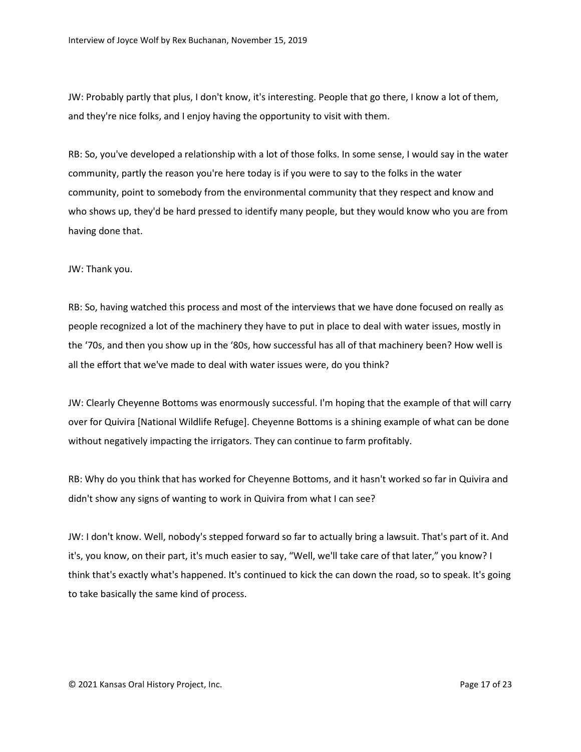JW: Probably partly that plus, I don't know, it's interesting. People that go there, I know a lot of them, and they're nice folks, and I enjoy having the opportunity to visit with them.

RB: So, you've developed a relationship with a lot of those folks. In some sense, I would say in the water community, partly the reason you're here today is if you were to say to the folks in the water community, point to somebody from the environmental community that they respect and know and who shows up, they'd be hard pressed to identify many people, but they would know who you are from having done that.

JW: Thank you.

RB: So, having watched this process and most of the interviews that we have done focused on really as people recognized a lot of the machinery they have to put in place to deal with water issues, mostly in the '70s, and then you show up in the '80s, how successful has all of that machinery been? How well is all the effort that we've made to deal with water issues were, do you think?

JW: Clearly Cheyenne Bottoms was enormously successful. I'm hoping that the example of that will carry over for Quivira [National Wildlife Refuge]. Cheyenne Bottoms is a shining example of what can be done without negatively impacting the irrigators. They can continue to farm profitably.

RB: Why do you think that has worked for Cheyenne Bottoms, and it hasn't worked so far in Quivira and didn't show any signs of wanting to work in Quivira from what I can see?

JW: I don't know. Well, nobody's stepped forward so far to actually bring a lawsuit. That's part of it. And it's, you know, on their part, it's much easier to say, "Well, we'll take care of that later," you know? I think that's exactly what's happened. It's continued to kick the can down the road, so to speak. It's going to take basically the same kind of process.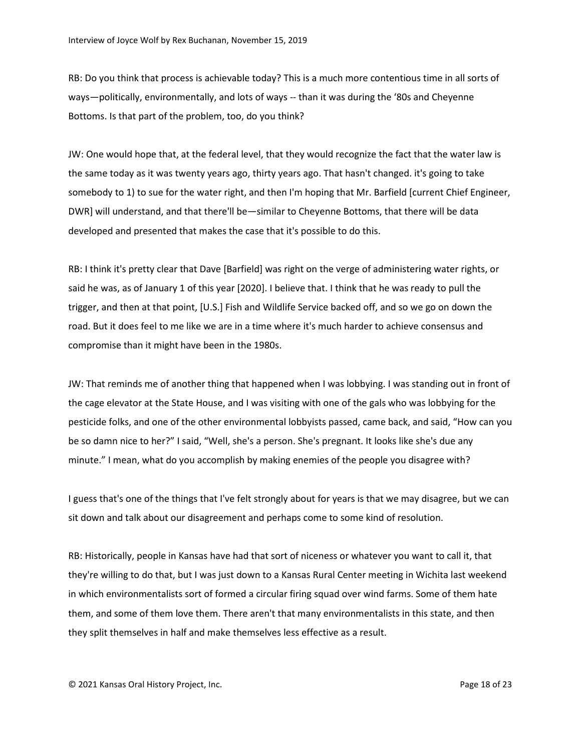RB: Do you think that process is achievable today? This is a much more contentious time in all sorts of ways—politically, environmentally, and lots of ways -- than it was during the '80s and Cheyenne Bottoms. Is that part of the problem, too, do you think?

JW: One would hope that, at the federal level, that they would recognize the fact that the water law is the same today as it was twenty years ago, thirty years ago. That hasn't changed. it's going to take somebody to 1) to sue for the water right, and then I'm hoping that Mr. Barfield [current Chief Engineer, DWR] will understand, and that there'll be—similar to Cheyenne Bottoms, that there will be data developed and presented that makes the case that it's possible to do this.

RB: I think it's pretty clear that Dave [Barfield] was right on the verge of administering water rights, or said he was, as of January 1 of this year [2020]. I believe that. I think that he was ready to pull the trigger, and then at that point, [U.S.] Fish and Wildlife Service backed off, and so we go on down the road. But it does feel to me like we are in a time where it's much harder to achieve consensus and compromise than it might have been in the 1980s.

JW: That reminds me of another thing that happened when I was lobbying. I was standing out in front of the cage elevator at the State House, and I was visiting with one of the gals who was lobbying for the pesticide folks, and one of the other environmental lobbyists passed, came back, and said, "How can you be so damn nice to her?" I said, "Well, she's a person. She's pregnant. It looks like she's due any minute." I mean, what do you accomplish by making enemies of the people you disagree with?

I guess that's one of the things that I've felt strongly about for years is that we may disagree, but we can sit down and talk about our disagreement and perhaps come to some kind of resolution.

RB: Historically, people in Kansas have had that sort of niceness or whatever you want to call it, that they're willing to do that, but I was just down to a Kansas Rural Center meeting in Wichita last weekend in which environmentalists sort of formed a circular firing squad over wind farms. Some of them hate them, and some of them love them. There aren't that many environmentalists in this state, and then they split themselves in half and make themselves less effective as a result.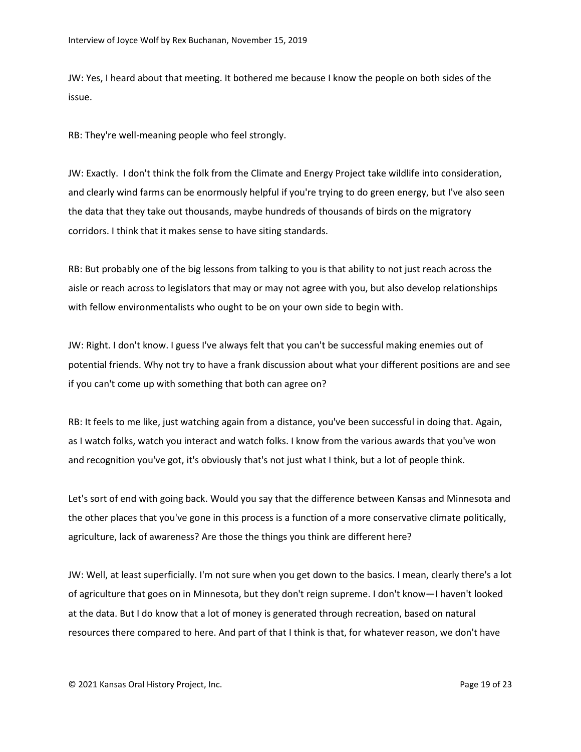JW: Yes, I heard about that meeting. It bothered me because I know the people on both sides of the issue.

RB: They're well-meaning people who feel strongly.

JW: Exactly. I don't think the folk from the Climate and Energy Project take wildlife into consideration, and clearly wind farms can be enormously helpful if you're trying to do green energy, but I've also seen the data that they take out thousands, maybe hundreds of thousands of birds on the migratory corridors. I think that it makes sense to have siting standards.

RB: But probably one of the big lessons from talking to you is that ability to not just reach across the aisle or reach across to legislators that may or may not agree with you, but also develop relationships with fellow environmentalists who ought to be on your own side to begin with.

JW: Right. I don't know. I guess I've always felt that you can't be successful making enemies out of potential friends. Why not try to have a frank discussion about what your different positions are and see if you can't come up with something that both can agree on?

RB: It feels to me like, just watching again from a distance, you've been successful in doing that. Again, as I watch folks, watch you interact and watch folks. I know from the various awards that you've won and recognition you've got, it's obviously that's not just what I think, but a lot of people think.

Let's sort of end with going back. Would you say that the difference between Kansas and Minnesota and the other places that you've gone in this process is a function of a more conservative climate politically, agriculture, lack of awareness? Are those the things you think are different here?

JW: Well, at least superficially. I'm not sure when you get down to the basics. I mean, clearly there's a lot of agriculture that goes on in Minnesota, but they don't reign supreme. I don't know—I haven't looked at the data. But I do know that a lot of money is generated through recreation, based on natural resources there compared to here. And part of that I think is that, for whatever reason, we don't have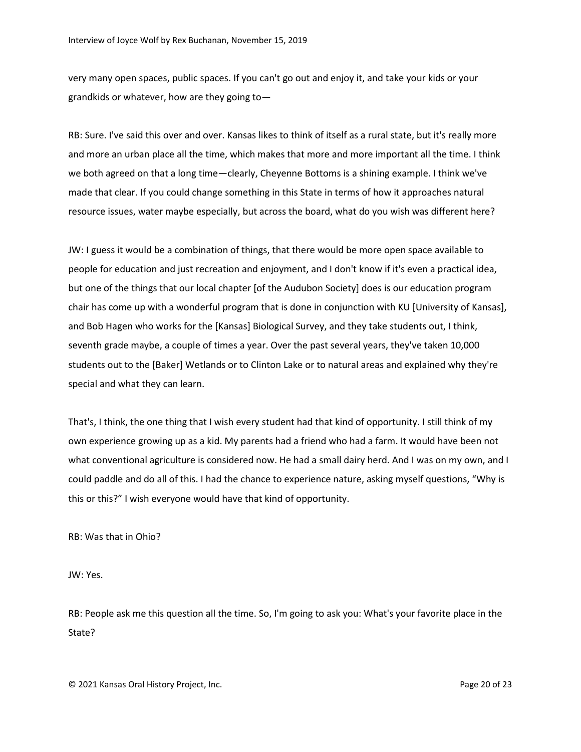very many open spaces, public spaces. If you can't go out and enjoy it, and take your kids or your grandkids or whatever, how are they going to—

RB: Sure. I've said this over and over. Kansas likes to think of itself as a rural state, but it's really more and more an urban place all the time, which makes that more and more important all the time. I think we both agreed on that a long time—clearly, Cheyenne Bottoms is a shining example. I think we've made that clear. If you could change something in this State in terms of how it approaches natural resource issues, water maybe especially, but across the board, what do you wish was different here?

JW: I guess it would be a combination of things, that there would be more open space available to people for education and just recreation and enjoyment, and I don't know if it's even a practical idea, but one of the things that our local chapter [of the Audubon Society] does is our education program chair has come up with a wonderful program that is done in conjunction with KU [University of Kansas], and Bob Hagen who works for the [Kansas] Biological Survey, and they take students out, I think, seventh grade maybe, a couple of times a year. Over the past several years, they've taken 10,000 students out to the [Baker] Wetlands or to Clinton Lake or to natural areas and explained why they're special and what they can learn.

That's, I think, the one thing that I wish every student had that kind of opportunity. I still think of my own experience growing up as a kid. My parents had a friend who had a farm. It would have been not what conventional agriculture is considered now. He had a small dairy herd. And I was on my own, and I could paddle and do all of this. I had the chance to experience nature, asking myself questions, "Why is this or this?" I wish everyone would have that kind of opportunity.

RB: Was that in Ohio?

JW: Yes.

RB: People ask me this question all the time. So, I'm going to ask you: What's your favorite place in the State?

© 2021 Kansas Oral History Project, Inc. Page 20 of 23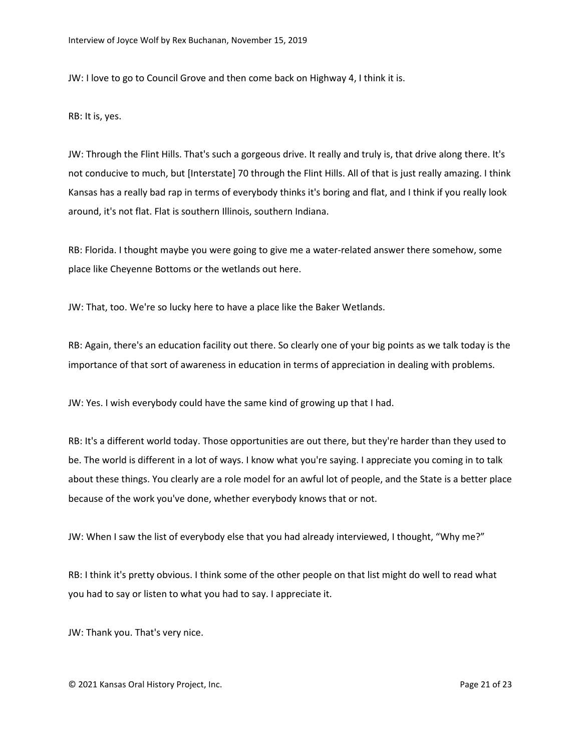JW: I love to go to Council Grove and then come back on Highway 4, I think it is.

RB: It is, yes.

JW: Through the Flint Hills. That's such a gorgeous drive. It really and truly is, that drive along there. It's not conducive to much, but [Interstate] 70 through the Flint Hills. All of that is just really amazing. I think Kansas has a really bad rap in terms of everybody thinks it's boring and flat, and I think if you really look around, it's not flat. Flat is southern Illinois, southern Indiana.

RB: Florida. I thought maybe you were going to give me a water-related answer there somehow, some place like Cheyenne Bottoms or the wetlands out here.

JW: That, too. We're so lucky here to have a place like the Baker Wetlands.

RB: Again, there's an education facility out there. So clearly one of your big points as we talk today is the importance of that sort of awareness in education in terms of appreciation in dealing with problems.

JW: Yes. I wish everybody could have the same kind of growing up that I had.

RB: It's a different world today. Those opportunities are out there, but they're harder than they used to be. The world is different in a lot of ways. I know what you're saying. I appreciate you coming in to talk about these things. You clearly are a role model for an awful lot of people, and the State is a better place because of the work you've done, whether everybody knows that or not.

JW: When I saw the list of everybody else that you had already interviewed, I thought, "Why me?"

RB: I think it's pretty obvious. I think some of the other people on that list might do well to read what you had to say or listen to what you had to say. I appreciate it.

JW: Thank you. That's very nice.